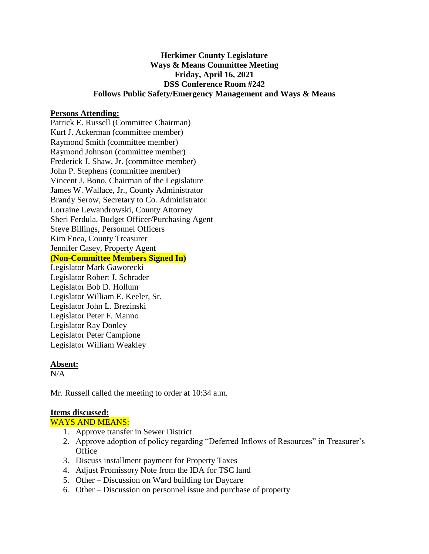# **Herkimer County Legislature Ways & Means Committee Meeting Friday, April 16, 2021 DSS Conference Room #242 Follows Public Safety/Emergency Management and Ways & Means**

### **Persons Attending:**

Patrick E. Russell (Committee Chairman) Kurt J. Ackerman (committee member) Raymond Smith (committee member) Raymond Johnson (committee member) Frederick J. Shaw, Jr. (committee member) John P. Stephens (committee member) Vincent J. Bono, Chairman of the Legislature James W. Wallace, Jr., County Administrator Brandy Serow, Secretary to Co. Administrator Lorraine Lewandrowski, County Attorney Sheri Ferdula, Budget Officer/Purchasing Agent Steve Billings, Personnel Officers Kim Enea, County Treasurer Jennifer Casey, Property Agent **(Non-Committee Members Signed In)** Legislator Mark Gaworecki

Legislator Robert J. Schrader Legislator Bob D. Hollum Legislator William E. Keeler, Sr. Legislator John L. Brezinski Legislator Peter F. Manno Legislator Ray Donley Legislator Peter Campione Legislator William Weakley

#### **Absent:**

 $N/A$ 

Mr. Russell called the meeting to order at 10:34 a.m.

#### **Items discussed:**

WAYS AND MEANS:

- 1. Approve transfer in Sewer District
- 2. Approve adoption of policy regarding "Deferred Inflows of Resources" in Treasurer's **Office**
- 3. Discuss installment payment for Property Taxes
- 4. Adjust Promissory Note from the IDA for TSC land
- 5. Other Discussion on Ward building for Daycare
- 6. Other Discussion on personnel issue and purchase of property